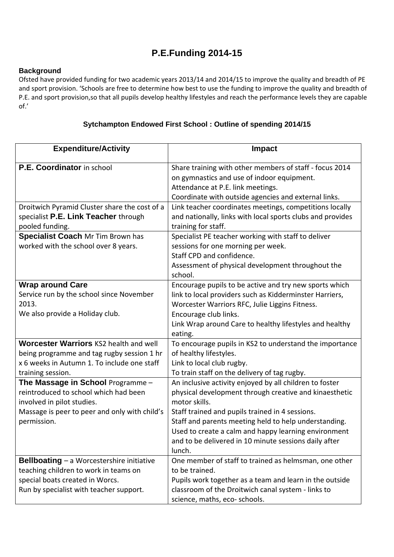## **P.E.Funding 2014-15**

## **Background**

Ofsted have provided funding for two academic years 2013/14 and 2014/15 to improve the quality and breadth of PE and sport provision. 'Schools are free to determine how best to use the funding to improve the quality and breadth of P.E. and sport provision,so that all pupils develop healthy lifestyles and reach the performance levels they are capable of.'

## **Sytchampton Endowed First School : Outline of spending 2014/15**

| <b>Expenditure/Activity</b>                                                                                                                                             | <b>Impact</b>                                                                                                                                                                                                                                                                                                                                                             |
|-------------------------------------------------------------------------------------------------------------------------------------------------------------------------|---------------------------------------------------------------------------------------------------------------------------------------------------------------------------------------------------------------------------------------------------------------------------------------------------------------------------------------------------------------------------|
| P.E. Coordinator in school                                                                                                                                              | Share training with other members of staff - focus 2014<br>on gymnastics and use of indoor equipment.<br>Attendance at P.E. link meetings.<br>Coordinate with outside agencies and external links.                                                                                                                                                                        |
| Droitwich Pyramid Cluster share the cost of a<br>specialist P.E. Link Teacher through<br>pooled funding.<br><b>Specialist Coach Mr Tim Brown has</b>                    | Link teacher coordinates meetings, competitions locally<br>and nationally, links with local sports clubs and provides<br>training for staff.<br>Specialist PE teacher working with staff to deliver                                                                                                                                                                       |
| worked with the school over 8 years.                                                                                                                                    | sessions for one morning per week.<br>Staff CPD and confidence.<br>Assessment of physical development throughout the<br>school.                                                                                                                                                                                                                                           |
| <b>Wrap around Care</b><br>Service run by the school since November<br>2013.<br>We also provide a Holiday club.                                                         | Encourage pupils to be active and try new sports which<br>link to local providers such as Kidderminster Harriers,<br>Worcester Warriors RFC, Julie Liggins Fitness.<br>Encourage club links.<br>Link Wrap around Care to healthy lifestyles and healthy<br>eating.                                                                                                        |
| Worcester Warriors KS2 health and well<br>being programme and tag rugby session 1 hr<br>x 6 weeks in Autumn 1. To include one staff<br>training session.                | To encourage pupils in KS2 to understand the importance<br>of healthy lifestyles.<br>Link to local club rugby.<br>To train staff on the delivery of tag rugby.                                                                                                                                                                                                            |
| The Massage in School Programme-<br>reintroduced to school which had been<br>involved in pilot studies.<br>Massage is peer to peer and only with child's<br>permission. | An inclusive activity enjoyed by all children to foster<br>physical development through creative and kinaesthetic<br>motor skills.<br>Staff trained and pupils trained in 4 sessions.<br>Staff and parents meeting held to help understanding.<br>Used to create a calm and happy learning environment<br>and to be delivered in 10 minute sessions daily after<br>lunch. |
| <b>Bellboating - a Worcestershire initiative</b><br>teaching children to work in teams on<br>special boats created in Worcs.<br>Run by specialist with teacher support. | One member of staff to trained as helmsman, one other<br>to be trained.<br>Pupils work together as a team and learn in the outside<br>classroom of the Droitwich canal system - links to<br>science, maths, eco- schools.                                                                                                                                                 |